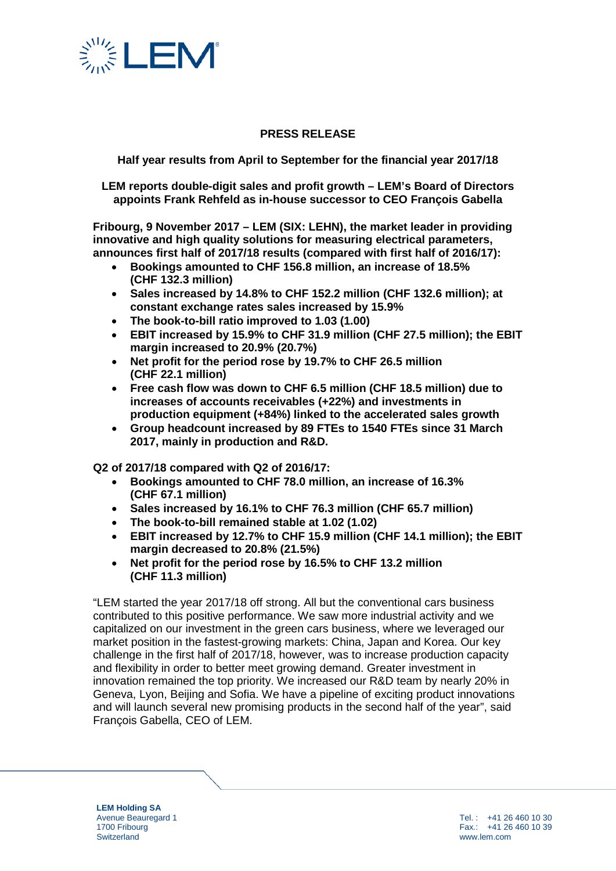

## **PRESS RELEASE**

**Half year results from April to September for the financial year 2017/18**

**LEM reports double-digit sales and profit growth – LEM's Board of Directors appoints Frank Rehfeld as in-house successor to CEO François Gabella** 

**Fribourg, 9 November 2017 – LEM (SIX: LEHN), the market leader in providing innovative and high quality solutions for measuring electrical parameters, announces first half of 2017/18 results (compared with first half of 2016/17):** 

- **Bookings amounted to CHF 156.8 million, an increase of 18.5% (CHF 132.3 million)**
- **Sales increased by 14.8% to CHF 152.2 million (CHF 132.6 million); at constant exchange rates sales increased by 15.9%**
- **The book-to-bill ratio improved to 1.03 (1.00)**
- **EBIT increased by 15.9% to CHF 31.9 million (CHF 27.5 million); the EBIT margin increased to 20.9% (20.7%)**
- **Net profit for the period rose by 19.7% to CHF 26.5 million (CHF 22.1 million)**
- **Free cash flow was down to CHF 6.5 million (CHF 18.5 million) due to increases of accounts receivables (+22%) and investments in production equipment (+84%) linked to the accelerated sales growth**
- **Group headcount increased by 89 FTEs to 1540 FTEs since 31 March 2017, mainly in production and R&D.**

**Q2 of 2017/18 compared with Q2 of 2016/17:**

- **Bookings amounted to CHF 78.0 million, an increase of 16.3% (CHF 67.1 million)**
- **Sales increased by 16.1% to CHF 76.3 million (CHF 65.7 million)**
- **The book-to-bill remained stable at 1.02 (1.02)**
- **EBIT increased by 12.7% to CHF 15.9 million (CHF 14.1 million); the EBIT margin decreased to 20.8% (21.5%)**
- **Net profit for the period rose by 16.5% to CHF 13.2 million (CHF 11.3 million)**

"LEM started the year 2017/18 off strong. All but the conventional cars business contributed to this positive performance. We saw more industrial activity and we capitalized on our investment in the green cars business, where we leveraged our market position in the fastest-growing markets: China, Japan and Korea. Our key challenge in the first half of 2017/18, however, was to increase production capacity and flexibility in order to better meet growing demand. Greater investment in innovation remained the top priority. We increased our R&D team by nearly 20% in Geneva, Lyon, Beijing and Sofia. We have a pipeline of exciting product innovations and will launch several new promising products in the second half of the year", said François Gabella, CEO of LEM.

**LEM Holding SA** Avenue Beauregard 1 1700 Fribourg **Switzerland**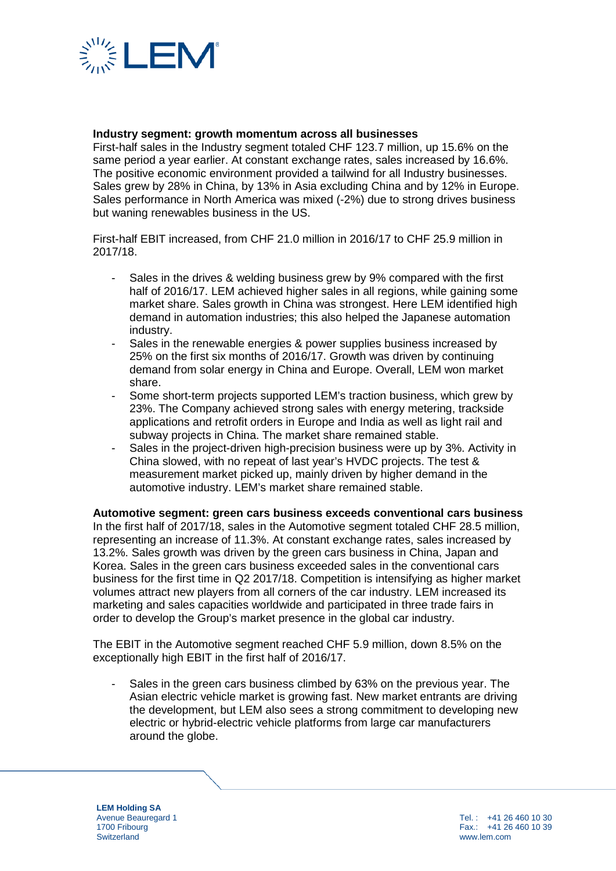

### **Industry segment: growth momentum across all businesses**

First-half sales in the Industry segment totaled CHF 123.7 million, up 15.6% on the same period a year earlier. At constant exchange rates, sales increased by 16.6%. The positive economic environment provided a tailwind for all Industry businesses. Sales grew by 28% in China, by 13% in Asia excluding China and by 12% in Europe. Sales performance in North America was mixed (-2%) due to strong drives business but waning renewables business in the US.

First-half EBIT increased, from CHF 21.0 million in 2016/17 to CHF 25.9 million in 2017/18.

- Sales in the drives & welding business grew by 9% compared with the first half of 2016/17. LEM achieved higher sales in all regions, while gaining some market share. Sales growth in China was strongest. Here LEM identified high demand in automation industries; this also helped the Japanese automation industry.
- Sales in the renewable energies & power supplies business increased by 25% on the first six months of 2016/17. Growth was driven by continuing demand from solar energy in China and Europe. Overall, LEM won market share.
- Some short-term projects supported LEM's traction business, which grew by 23%. The Company achieved strong sales with energy metering, trackside applications and retrofit orders in Europe and India as well as light rail and subway projects in China. The market share remained stable.
- Sales in the project-driven high-precision business were up by 3%. Activity in China slowed, with no repeat of last year's HVDC projects. The test & measurement market picked up, mainly driven by higher demand in the automotive industry. LEM's market share remained stable.

**Automotive segment: green cars business exceeds conventional cars business** In the first half of 2017/18, sales in the Automotive segment totaled CHF 28.5 million, representing an increase of 11.3%. At constant exchange rates, sales increased by 13.2%. Sales growth was driven by the green cars business in China, Japan and Korea. Sales in the green cars business exceeded sales in the conventional cars business for the first time in Q2 2017/18. Competition is intensifying as higher market volumes attract new players from all corners of the car industry. LEM increased its marketing and sales capacities worldwide and participated in three trade fairs in order to develop the Group's market presence in the global car industry.

The EBIT in the Automotive segment reached CHF 5.9 million, down 8.5% on the exceptionally high EBIT in the first half of 2016/17.

Sales in the green cars business climbed by 63% on the previous year. The Asian electric vehicle market is growing fast. New market entrants are driving the development, but LEM also sees a strong commitment to developing new electric or hybrid-electric vehicle platforms from large car manufacturers around the globe.

**LEM Holding SA** Avenue Beauregard 1 1700 Fribourg **Switzerland** 

Tel. : +41 26 460 10 30 Fax.: +41 26 460 10 39 www.lem.com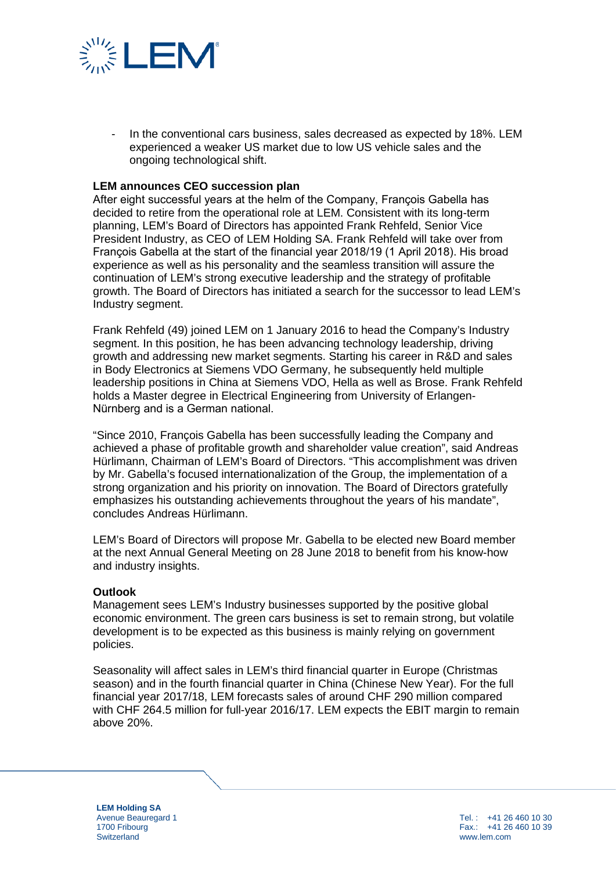

- In the conventional cars business, sales decreased as expected by 18%. LEM experienced a weaker US market due to low US vehicle sales and the ongoing technological shift.

#### **LEM announces CEO succession plan**

After eight successful years at the helm of the Company, François Gabella has decided to retire from the operational role at LEM. Consistent with its long-term planning, LEM's Board of Directors has appointed Frank Rehfeld, Senior Vice President Industry, as CEO of LEM Holding SA. Frank Rehfeld will take over from François Gabella at the start of the financial year 2018/19 (1 April 2018). His broad experience as well as his personality and the seamless transition will assure the continuation of LEM's strong executive leadership and the strategy of profitable growth. The Board of Directors has initiated a search for the successor to lead LEM's Industry segment.

Frank Rehfeld (49) joined LEM on 1 January 2016 to head the Company's Industry segment. In this position, he has been advancing technology leadership, driving growth and addressing new market segments. Starting his career in R&D and sales in Body Electronics at Siemens VDO Germany, he subsequently held multiple leadership positions in China at Siemens VDO, Hella as well as Brose. Frank Rehfeld holds a Master degree in Electrical Engineering from University of Erlangen-Nürnberg and is a German national.

"Since 2010, François Gabella has been successfully leading the Company and achieved a phase of profitable growth and shareholder value creation", said Andreas Hürlimann, Chairman of LEM's Board of Directors. "This accomplishment was driven by Mr. Gabella's focused internationalization of the Group, the implementation of a strong organization and his priority on innovation. The Board of Directors gratefully emphasizes his outstanding achievements throughout the years of his mandate", concludes Andreas Hürlimann.

LEM's Board of Directors will propose Mr. Gabella to be elected new Board member at the next Annual General Meeting on 28 June 2018 to benefit from his know-how and industry insights.

#### **Outlook**

Management sees LEM's Industry businesses supported by the positive global economic environment. The green cars business is set to remain strong, but volatile development is to be expected as this business is mainly relying on government policies.

Seasonality will affect sales in LEM's third financial quarter in Europe (Christmas season) and in the fourth financial quarter in China (Chinese New Year). For the full financial year 2017/18, LEM forecasts sales of around CHF 290 million compared with CHF 264.5 million for full-year 2016/17. LEM expects the EBIT margin to remain above 20%.

**LEM Holding SA** Avenue Beauregard 1 1700 Fribourg **Switzerland** 

Tel. : +41 26 460 10 30 Fax.: +41 26 460 10 39 www.lem.com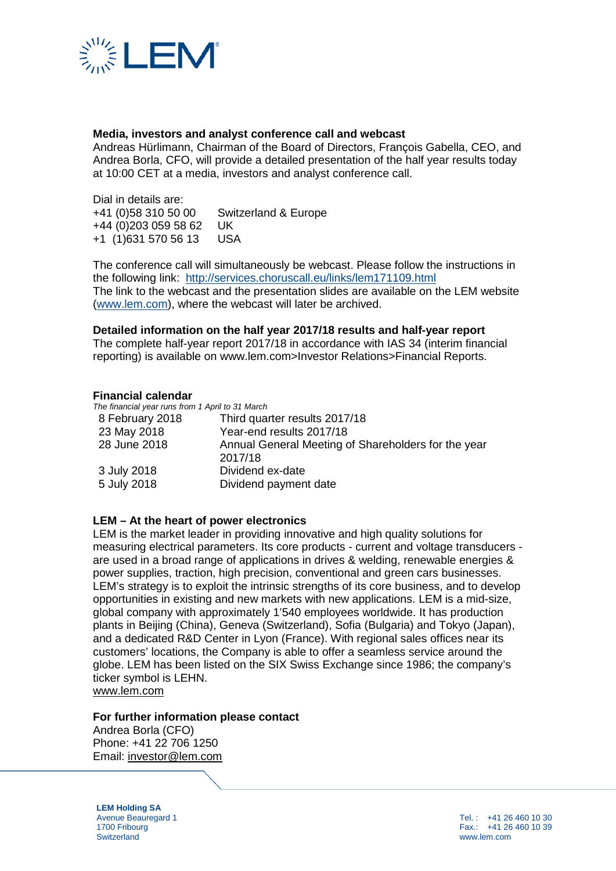

### **Media, investors and analyst conference call and webcast**

Andreas Hürlimann, Chairman of the Board of Directors, François Gabella, CEO, and Andrea Borla, CFO, will provide a detailed presentation of the half year results today at 10:00 CET at a media, investors and analyst conference call.

Dial in details are:<br>+41 (0)58 310 50 00 Switzerland & Europe +44 (0)203 059 58 62 UK +1 (1)631 570 56 13 USA

The conference call will simultaneously be webcast. Please follow the instructions in the following link: <http://services.choruscall.eu/links/lem171109.html> The link to the webcast and the presentation slides are available on the LEM website [\(www.lem.com\)](http://www.lem.com/), where the webcast will later be archived.

#### **Detailed information on the half year 2017/18 results and half-year report**

The complete half-year report 2017/18 in accordance with IAS 34 (interim financial reporting) is available on www.lem.com>Investor Relations>Financial Reports.

#### **Financial calendar**

*The financial year runs from 1 April to 31 March*

| 8 February 2018 | Third quarter results 2017/18                                  |
|-----------------|----------------------------------------------------------------|
| 23 May 2018     | Year-end results 2017/18                                       |
| 28 June 2018    | Annual General Meeting of Shareholders for the year<br>2017/18 |
| 3 July 2018     | Dividend ex-date                                               |
| 5 July 2018     | Dividend payment date                                          |

#### **LEM – At the heart of power electronics**

LEM is the market leader in providing innovative and high quality solutions for measuring electrical parameters. Its core products - current and voltage transducers are used in a broad range of applications in drives & welding, renewable energies & power supplies, traction, high precision, conventional and green cars businesses. LEM's strategy is to exploit the intrinsic strengths of its core business, and to develop opportunities in existing and new markets with new applications. LEM is a mid-size, global company with approximately 1'540 employees worldwide. It has production plants in Beijing (China), Geneva (Switzerland), Sofia (Bulgaria) and Tokyo (Japan), and a dedicated R&D Center in Lyon (France). With regional sales offices near its customers' locations, the Company is able to offer a seamless service around the globe. LEM has been listed on the SIX Swiss Exchange since 1986; the company's ticker symbol is LEHN.

[www.lem.com](http://www.lem.com/)

#### **For further information please contact**

Andrea Borla (CFO) Phone: +41 22 706 1250 Email: [investor@lem.com](mailto:investor@lem.com)

**LEM Holding SA** Avenue Beauregard 1 1700 Fribourg **Switzerland**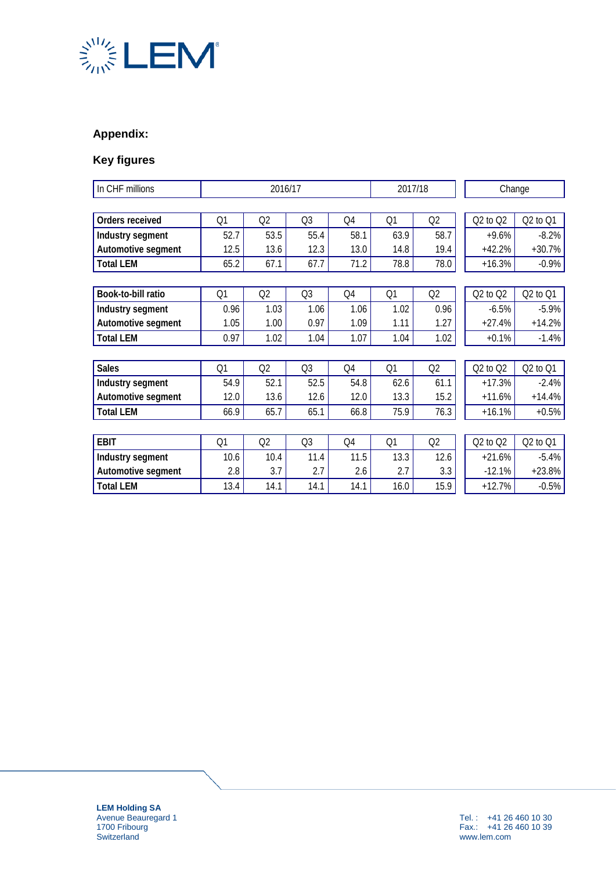

# **Appendix:**

# **Key figures**

| In CHF millions    | 2016/17 |      |                | 2017/18 |      | Change         |              |          |
|--------------------|---------|------|----------------|---------|------|----------------|--------------|----------|
|                    |         |      |                |         |      |                |              |          |
| Orders received    | Q1      | Q2   | Q <sub>3</sub> | Q4      | Q1   | Q2             | $Q2$ to $Q2$ | Q2 to Q1 |
| Industry segment   | 52.7    | 53.5 | 55.4           | 58.1    | 63.9 | 58.7           | $+9.6%$      | $-8.2%$  |
| Automotive segment | 12.5    | 13.6 | 12.3           | 13.0    | 14.8 | 19.4           | $+42.2%$     | $+30.7%$ |
| <b>Total LEM</b>   | 65.2    | 67.1 | 67.7           | 71.2    | 78.8 | 78.0           | $+16.3%$     | $-0.9%$  |
|                    |         |      |                |         |      |                |              |          |
| Book-to-bill ratio | Q1      | Q2   | Q <sub>3</sub> | Q4      | Q1   | Q2             | $Q2$ to $Q2$ | Q2 to Q1 |
| Industry segment   | 0.96    | 1.03 | 1.06           | 1.06    | 1.02 | 0.96           | $-6.5%$      | $-5.9%$  |
| Automotive segment | 1.05    | 1.00 | 0.97           | 1.09    | 1.11 | 1.27           | $+27.4%$     | $+14.2%$ |
| <b>Total LEM</b>   | 0.97    | 1.02 | 1.04           | 1.07    | 1.04 | 1.02           | $+0.1%$      | $-1.4%$  |
|                    |         |      |                |         |      |                |              |          |
| <b>Sales</b>       | Q1      | Q2   | Q <sub>3</sub> | Q4      | Q1   | Q2             | $Q2$ to $Q2$ | Q2 to Q1 |
| Industry segment   | 54.9    | 52.1 | 52.5           | 54.8    | 62.6 | 61.1           | $+17.3%$     | $-2.4%$  |
| Automotive segment | 12.0    | 13.6 | 12.6           | 12.0    | 13.3 | 15.2           | $+11.6%$     | $+14.4%$ |
| <b>Total LEM</b>   | 66.9    | 65.7 | 65.1           | 66.8    | 75.9 | 76.3           | $+16.1%$     | $+0.5%$  |
|                    |         |      |                |         |      |                |              |          |
| <b>EBIT</b>        | Q1      | Q2   | Q <sub>3</sub> | Q4      | Q1   | Q <sub>2</sub> | $Q2$ to $Q2$ | Q2 to Q1 |
| Industry segment   | 10.6    | 10.4 | 11.4           | 11.5    | 13.3 | 12.6           | $+21.6%$     | $-5.4%$  |
| Automotive segment | 2.8     | 3.7  | 2.7            | 2.6     | 2.7  | 3.3            | $-12.1%$     | $+23.8%$ |
| <b>Total LEM</b>   | 13.4    | 14.1 | 14.1           | 14.1    | 16.0 | 15.9           | $+12.7%$     | $-0.5%$  |